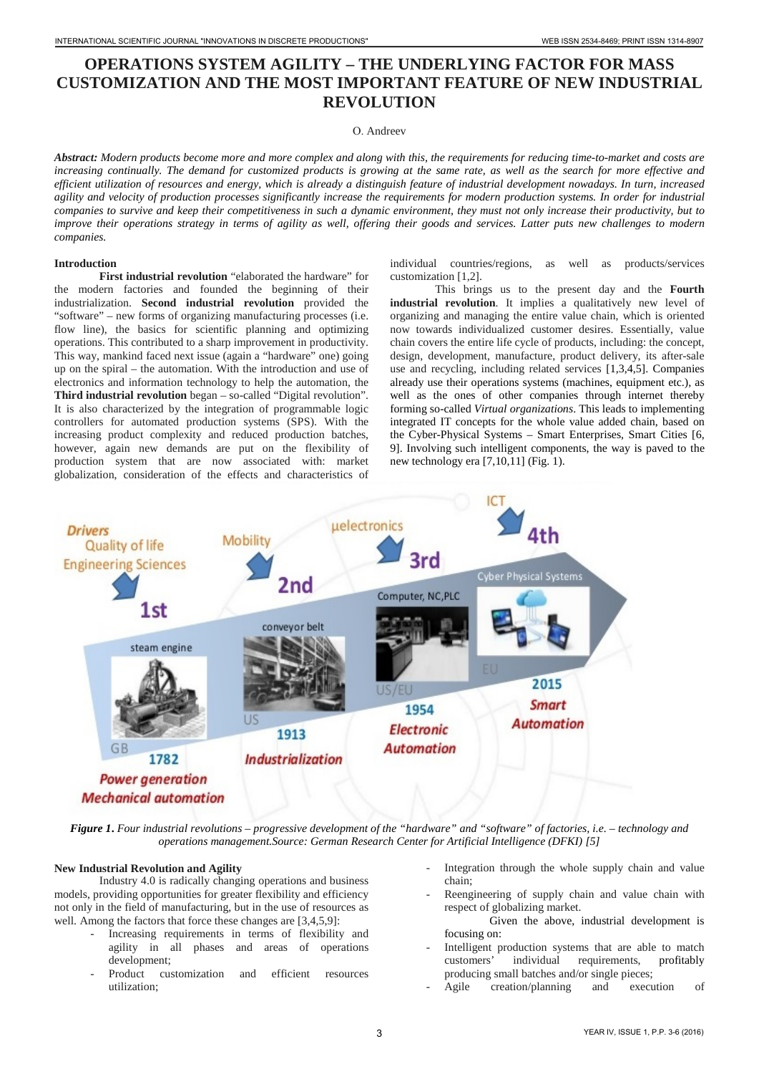# **OPERATIONS SYSTEM AGILITY – THE UNDERLYING FACTOR FOR MASS CUSTOMIZATION AND THE MOST IMPORTANT FEATURE OF NEW INDUSTRIAL REVOLUTION**

### О. Andreev

*Abstract: Modern products become more and more complex and along with this, the requirements for reducing time-to-market and costs are increasing continually. The demand for customized products is growing at the same rate, as well as the search for more effective and efficient utilization of resources and energy, which is already a distinguish feature of industrial development nowadays. In turn, increased agility and velocity of production processes significantly increase the requirements for modern production systems. In order for industrial companies to survive and keep their competitiveness in such a dynamic environment, they must not only increase their productivity, but to improve their operations strategy in terms of agility as well, offering their goods and services. Latter puts new challenges to modern companies.*

#### **Introduction**

**First industrial revolution** "elaborated the hardware" for the modern factories and founded the beginning of their industrialization. **Second industrial revolution** provided the "software" – new forms of organizing manufacturing processes (i.e. flow line), the basics for scientific planning and optimizing operations. This contributed to a sharp improvement in productivity. This way, mankind faced next issue (again a "hardware" one) going up on the spiral – the automation. With the introduction and use of electronics and information technology to help the automation, the **Third industrial revolution** began – so-called "Digital revolution". It is also characterized by the integration of programmable logic controllers for automated production systems (SPS). With the increasing product complexity and reduced production batches, however, again new demands are put on the flexibility of production system that are now associated with: market globalization, consideration of the effects and characteristics of individual countries/regions, as well as products/services customization [1,2].

This brings us to the present day and the **Fourth industrial revolution**. It implies a qualitatively new level of organizing and managing the entire value chain, which is oriented now towards individualized customer desires. Essentially, value chain covers the entire life cycle of products, including: the concept, design, development, manufacture, product delivery, its after-sale use and recycling, including related services [1,3,4,5]. Companies already use their operations systems (machines, equipment etc.), as well as the ones of other companies through internet thereby forming so-called *Virtual organizations*. This leads to implementing integrated IT concepts for the whole value added chain, based on the Cyber-Physical Systems – Smart Enterprises, Smart Cities [6, 9]. Involving such intelligent components, the way is paved to the new technology era [7,10,11] (Fig. 1).



*Figure 1***.** *Four industrial revolutions – progressive development of the "hardware" and "software" of factories, i.e. – technology and operations management.Source: German Research Center for Artificial Intelligence (DFKI) [5]*

#### **New Industrial Revolution and Agility**

Industry 4.0 is radically changing operations and business models, providing opportunities for greater flexibility and efficiency not only in the field of manufacturing, but in the use of resources as well. Among the factors that force these changes are [3,4,5,9]:

- Increasing requirements in terms of flexibility and agility in all phases and areas of operations development;<br>Product cus
- customization and efficient resources utilization;
- Integration through the whole supply chain and value chain;
- Reengineering of supply chain and value chain with respect of globalizing market.
	- Given the above, industrial development is focusing on:
- Intelligent production systems that are able to match<br>customers' individual requirements, profitably individual requirements, profitably producing small batches and/or single pieces;
- Agile creation/planning and execution of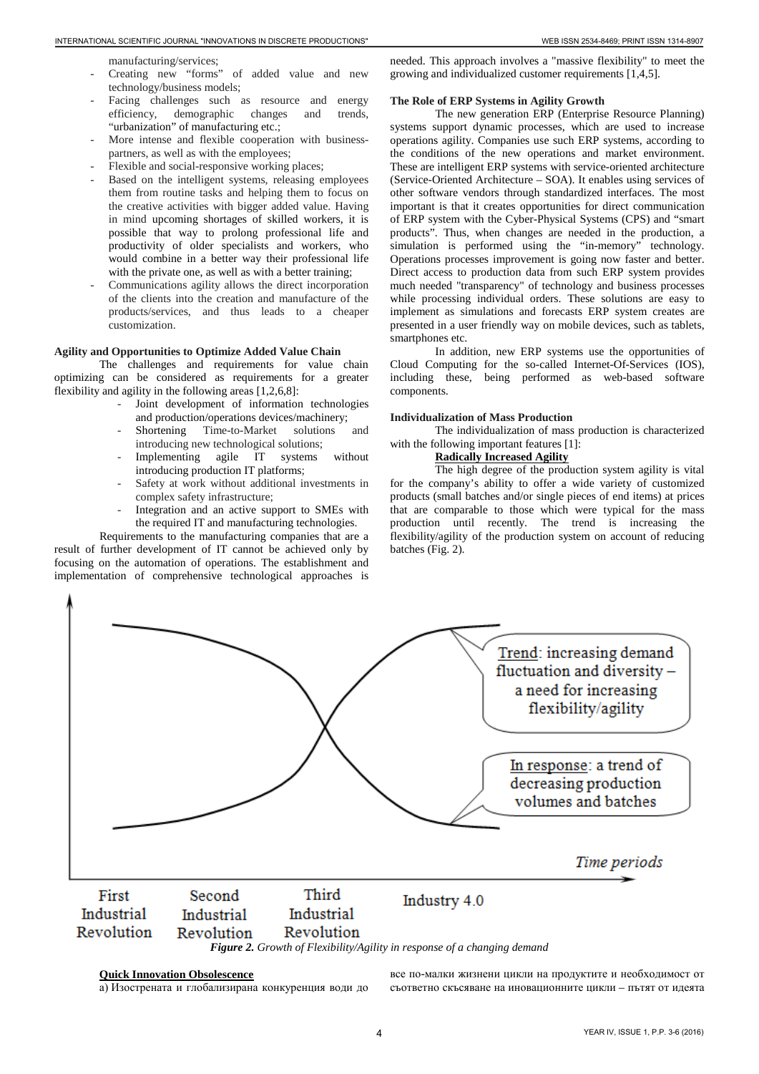manufacturing/services;

- Creating new "forms" of added value and new technology/business models;
- Facing challenges such as resource and energy efficiency, demographic changes and trends, "urbanization" of manufacturing etc.;
- More intense and flexible cooperation with businesspartners, as well as with the employees;
- Flexible and social-responsive working places;
- Based on the intelligent systems, releasing employees them from routine tasks and helping them to focus on the creative activities with bigger added value. Having in mind upcoming shortages of skilled workers, it is possible that way to prolong professional life and productivity of older specialists and workers, who would combine in a better way their professional life with the private one, as well as with a better training;
- Communications agility allows the direct incorporation of the clients into the creation and manufacture of the products/services, and thus leads to a cheaper customization.

#### **Agility and Opportunities to Optimize Added Value Chain**

The challenges and requirements for value chain optimizing can be considered as requirements for a greater flexibility and agility in the following areas [1,2,6,8]:

- Joint development of information technologies and production/operations devices/machinery;<br>Shortening Time-to-Market solutions
- Time-to-Market solutions and introducing new technological solutions;
- Implementing agile IT systems without introducing production IT platforms;
- Safety at work without additional investments in complex safety infrastructure;
- Integration and an active support to SMEs with the required IT and manufacturing technologies.

Requirements to the manufacturing companies that are a result of further development of IT cannot be achieved only by focusing on the automation of operations. The establishment and implementation of comprehensive technological approaches is needed. This approach involves a "massive flexibility" to meet the growing and individualized customer requirements [1,4,5].

### **The Role of ERP Systems in Agility Growth**

The new generation ERP (Enterprise Resource Planning) systems support dynamic processes, which are used to increase operations agility. Companies use such ERP systems, according to the conditions of the new operations and market environment. These are intelligent ERP systems with service-oriented architecture (Service-Oriented Architecture – SOA). It enables using services of other software vendors through standardized interfaces. The most important is that it creates opportunities for direct communication of ERP system with the Cyber-Physical Systems (CPS) and "smart products". Thus, when changes are needed in the production, a simulation is performed using the "in-memory" technology. Operations processes improvement is going now faster and better. Direct access to production data from such ERP system provides much needed "transparency" of technology and business processes while processing individual orders. These solutions are easy to implement as simulations and forecasts ERP system creates are presented in a user friendly way on mobile devices, such as tablets, smartphones etc.

In addition, new ERP systems use the opportunities of Cloud Computing for the so-called Internet-Of-Services (IOS), including these, being performed as web-based software components.

#### **Individualization of Mass Production**

The individualization of mass production is characterized with the following important features [1]:

# **Radically Increased Agility**

The high degree of the production system agility is vital for the company's ability to offer a wide variety of customized products (small batches and/or single pieces of end items) at prices that are comparable to those which were typical for the mass production until recently. The trend is increasing the flexibility/agility of the production system on account of reducing batches (Fig. 2).



# *Figure 2. Growth of Flexibility/Agility in response of a changing demand*

# **Quick Innovation Obsolescence**

а) Изострената и глобализирана конкуренция води до

все по-малки жизнени цикли на продуктите и необходимост от съответно скъсяване на иновационните цикли – пътят от идеята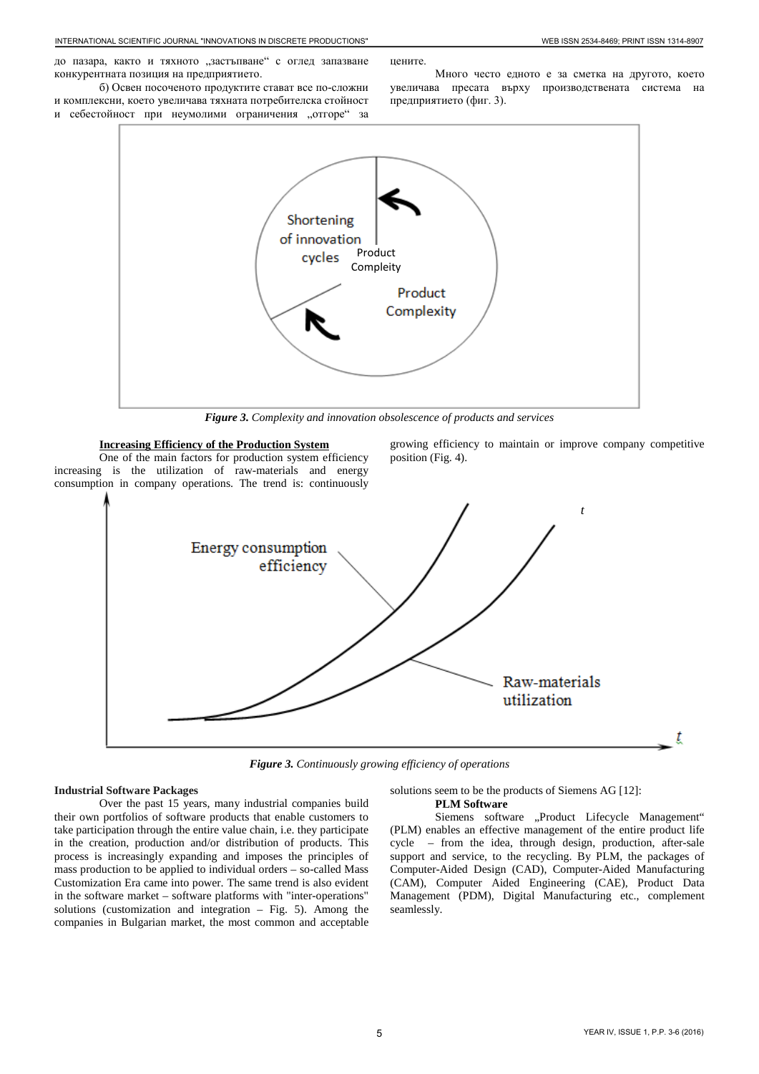до пазара, както и тяхното "застъпване" с оглед запазване конкурентната позиция на предприятието.

б) Освен посоченото продуктите стават все по-сложни и комплексни, което увеличава тяхната потребителска стойност и себестойност при неумолими ограничения "отгоре" за

цените. Много често едното е за сметка на другото, което увеличава пресата върху производствената система на предприятието (фиг. 3).



*Figure 3. Complexity and innovation obsolescence of products and services*

# **Increasing Efficiency of the Production System**

One of the main factors for production system efficiency increasing is the utilization of raw-materials and energy consumption in company operations. The trend is: continuously growing efficiency to maintain or improve company competitive position (Fig. 4).



*Figure 3. Continuously growing efficiency of operations*

### **Industrial Software Packages**

Over the past 15 years, many industrial companies build their own portfolios of software products that enable customers to take participation through the entire value chain, i.e. they participate in the creation, production and/or distribution of products. This process is increasingly expanding and imposes the principles of mass production to be applied to individual orders – so-called Mass Customization Era came into power. The same trend is also evident in the software market – software platforms with "inter-operations" solutions (customization and integration  $-$  Fig. 5). Among the companies in Bulgarian market, the most common and acceptable

## solutions seem to be the products of Siemens AG [12]:

### **PLM Software**

Siemens software "Product Lifecycle Management" (PLM) enables an effective management of the entire product life cycle – from the idea, through design, production, after-sale support and service, to the recycling. By PLM, the packages of Computer-Aided Design (CAD), Computer-Aided Manufacturing (CAM), Computer Aided Engineering (CAE), Product Data Management (PDM), Digital Manufacturing etc., complement seamlessly.